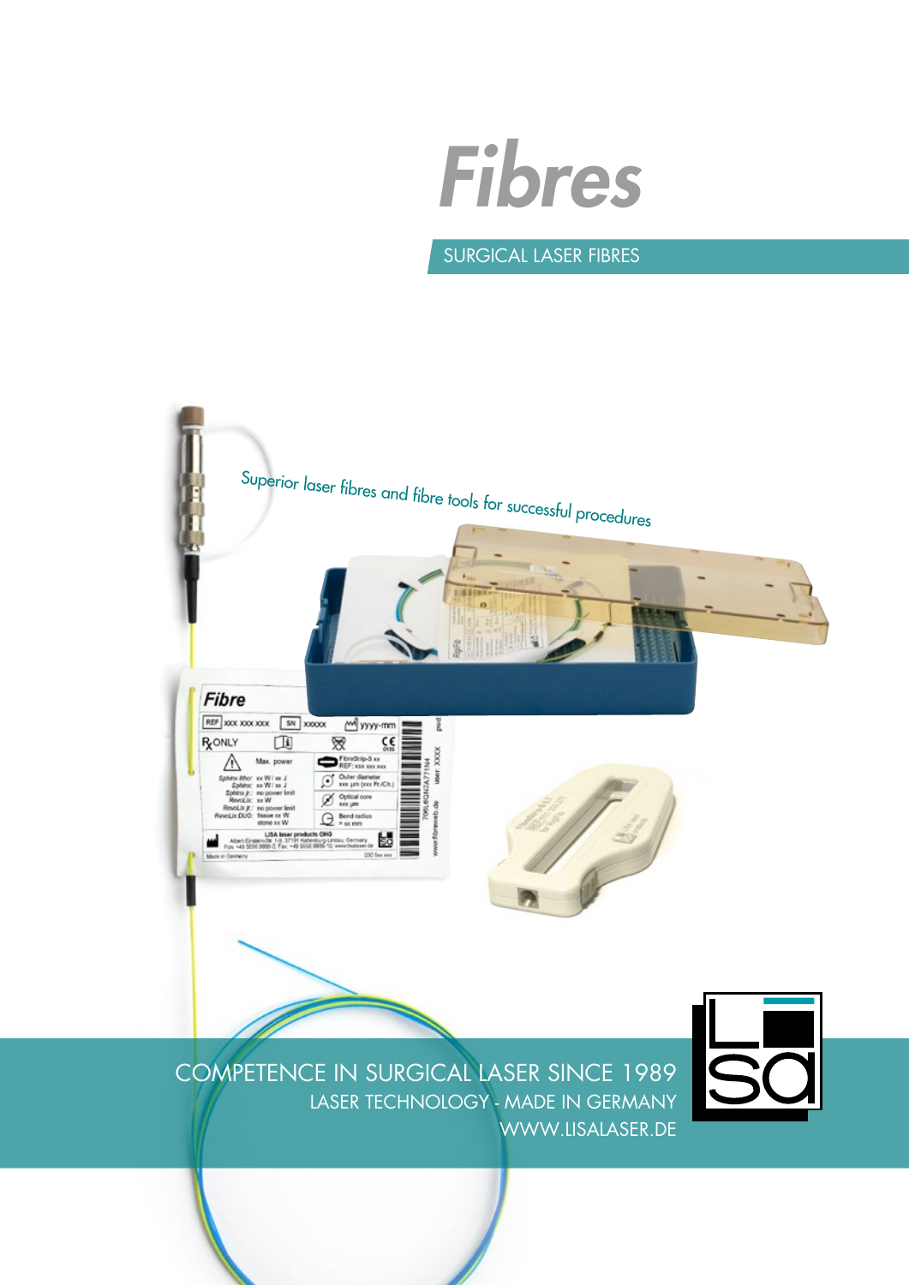

### Surgical laser Fibres



COMPETENCE IN SURGICAL LASER SINCE 1989 LASER TECHNOLOGY - MADE IN GERMANY WWW.LISALASER.DE

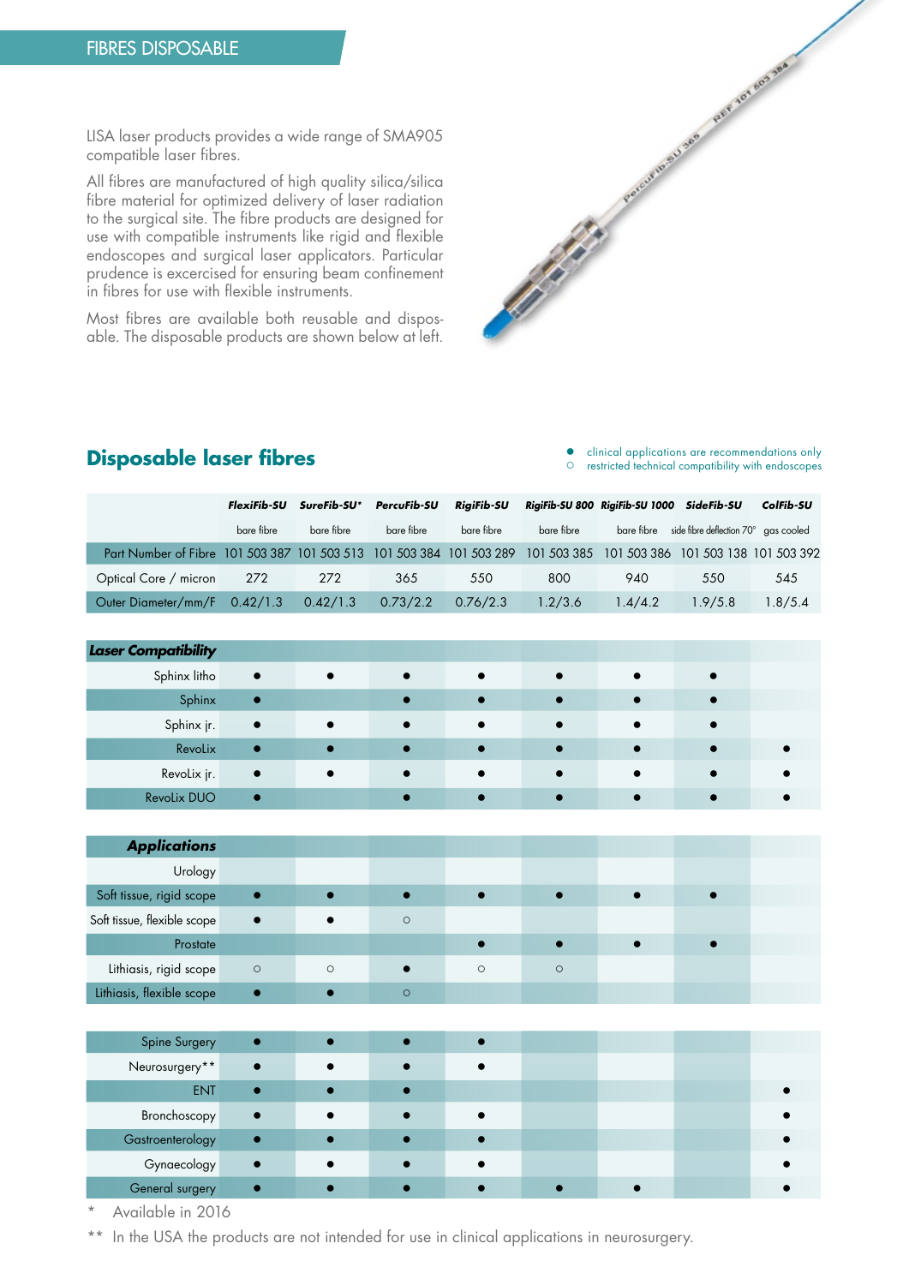LISA laser products provides a wide range of SMA905 compatible laser fibres.

All fibres are manufactured of high quality silica/silica fibre material for optimized delivery of laser radiation to the surgical site. The fibre products are designed for use with compatible instruments like rigid and flexible endoscopes and surgical laser applicators. Particular prudence is excercised for ensuring beam confinement in fibres for use with flexible instruments.

Most fibres are available both reusable and disposable. The disposable products are shown below at left.



**Disposable laser fibres** <br> **Consider the properties of the commentations** only restricted technical compatibility with endoscopes

|                                                                      | FlexiFib-SU | SureFib-SU* | PercuFib-SU | <b>RiaiFib-SU</b> |             | RigiFib-SU 800 RigiFib-SU 1000 SideFib-SU |                                                 | ColFib-SU |
|----------------------------------------------------------------------|-------------|-------------|-------------|-------------------|-------------|-------------------------------------------|-------------------------------------------------|-----------|
|                                                                      | bare fibre  | bare fibre  | bare fibre  | bare fibre        | bare fibre  |                                           | bare fibre side fibre deflection 70° gas cooled |           |
| Part Number of Fibre 101 503 387 101 503 513 101 503 384 101 503 289 |             |             |             |                   | 101 503 385 |                                           | 101 503 386 101 503 138 101 503 392             |           |
| Optical Core / micron                                                | 272         | 272         | 365         | 550               | 800         | 940                                       | 550                                             | 545       |
| Outer Diameter/mm/F 0.42/1.3                                         |             | 0.42/1.3    | 0.73/2.2    | 0.76/2.3          | 1.2/3.6     | 1.4/4.2                                   | 1.9/5.8                                         | 1.8/5.4   |

| <b>Laser Compatibility</b> |           |           |           |           |           |  |
|----------------------------|-----------|-----------|-----------|-----------|-----------|--|
| Sphinx litho               | $\bullet$ | $\bullet$ | $\bullet$ |           |           |  |
| Sphinx                     |           |           |           |           |           |  |
| Sphinx jr.                 | $\bullet$ | $\bullet$ | $\bullet$ | $\bullet$ |           |  |
| Revolix                    |           |           |           |           |           |  |
| Revolix jr.                | $\bullet$ |           | $\bullet$ | $\bullet$ | $\bullet$ |  |
| <b>Revolix DUO</b>         |           |           |           |           |           |  |

| <b>Applications</b>         |           |           |         |         |         |  |  |
|-----------------------------|-----------|-----------|---------|---------|---------|--|--|
| Urology                     |           |           |         |         |         |  |  |
| Soft tissue, rigid scope    |           |           |         |         |         |  |  |
| Soft tissue, flexible scope | $\bullet$ | $\bullet$ | $\circ$ |         |         |  |  |
| Prostate                    |           |           |         |         |         |  |  |
| Lithiasis, rigid scope      | $\circ$   | $\circ$   |         | $\circ$ | $\circ$ |  |  |
| Lithiasis, flexible scope   | $\bullet$ |           | $\circ$ |         |         |  |  |

| Spine Surgery    |           |  |  |  |  |
|------------------|-----------|--|--|--|--|
| Neurosurgery**   | $\bullet$ |  |  |  |  |
| <b>ENT</b>       |           |  |  |  |  |
| Bronchoscopy     |           |  |  |  |  |
| Gastroenterology |           |  |  |  |  |
| Gynaecology      |           |  |  |  |  |
| General surgery  |           |  |  |  |  |

Available in 2016

\*\* In the USA the products are not intended for use in clinical applications in neurosurgery.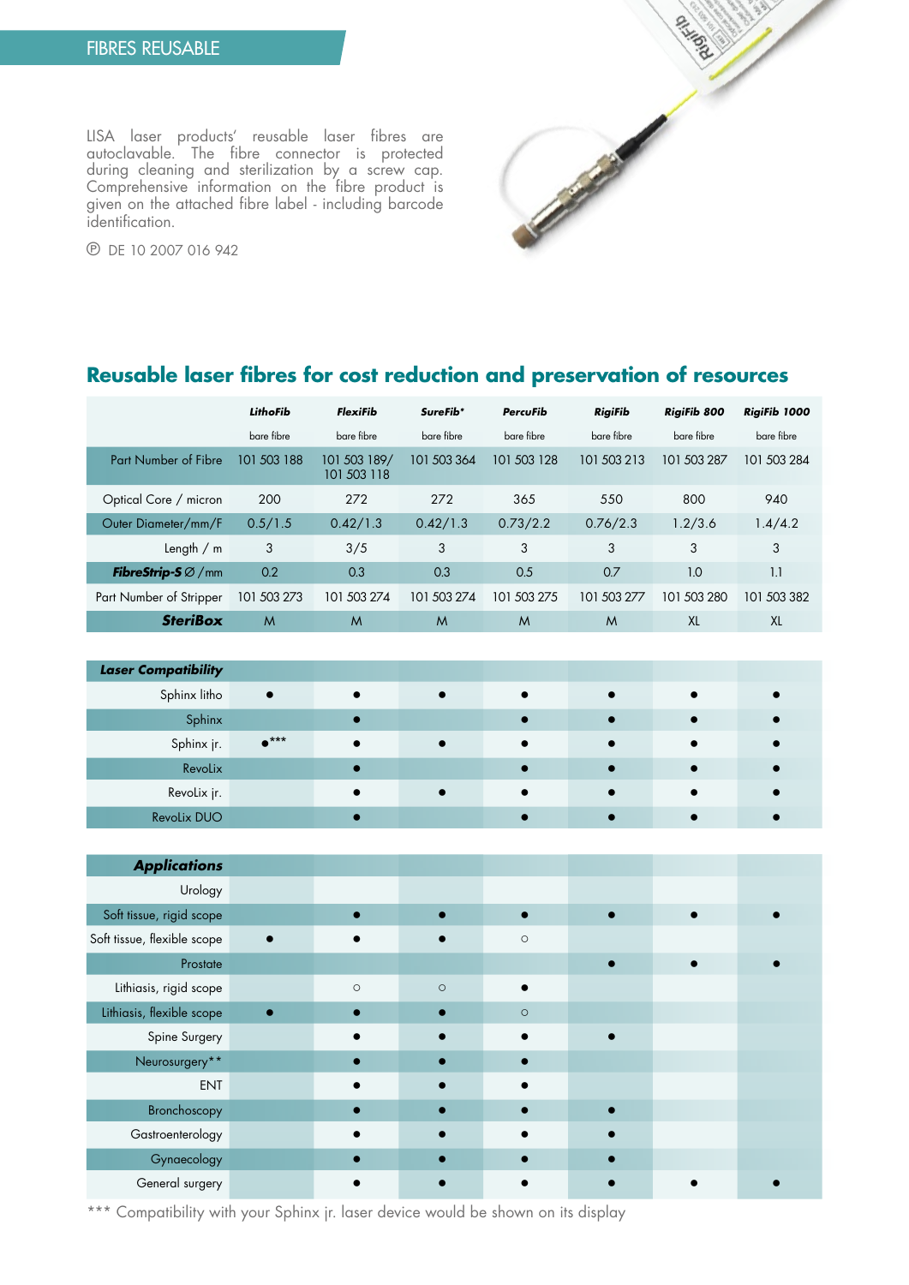DISHORE POSTAGE OF THE RESIDENCE OF THE RESIDENCE OF THE RESIDENCE OF THE RESIDENCE OF THE RESIDENCE OF THE RESIDENCE

℗ DE 10 2007 016 942

identification.

LISA laser products' reusable laser fibres are autoclavable. The fibre connector is protected during cleaning and sterilization by a screw cap. Comprehensive information on the fibre product is given on the attached fibre label - including barcode

# **Reusable laser fibres for cost reduction and preservation of resources**

|                                       | LithoFib     | <b>FlexiFib</b>             | SureFib*    | <b>PercuFib</b> | <b>RigiFib</b> | <b>RigiFib 800</b> | RigiFib 1000 |
|---------------------------------------|--------------|-----------------------------|-------------|-----------------|----------------|--------------------|--------------|
|                                       | bare fibre   | bare fibre                  | bare fibre  | bare fibre      | bare fibre     | bare fibre         | bare fibre   |
| Part Number of Fibre                  | 101 503 188  | 101 503 189/<br>101 503 118 | 101 503 364 | 101 503 128     | 101 503 213    | 101 503 287        | 101 503 284  |
| Optical Core / micron                 | 200          | 272                         | 272         | 365             | 550            | 800                | 940          |
| Outer Diameter/mm/F                   | 0.5/1.5      | 0.42/1.3                    | 0.42/1.3    | 0.73/2.2        | 0.76/2.3       | 1.2/3.6            | 1.4/4.2      |
| Length $/m$                           | 3            | 3/5                         | 3           | 3               | 3              | 3                  | 3            |
| <b>FibreStrip-S</b> $\varnothing$ /mm | 0.2          | 0.3                         | 0.3         | 0.5             | 0.7            | 1.0                | 1.1          |
| Part Number of Stripper               | 101 503 273  | 101 503 274                 | 101 503 274 | 101 503 275     | 101 503 277    | 101 503 280        | 101 503 382  |
| <b>SteriBox</b>                       | $\mathsf{M}$ | $\mathsf{M}$                | M           | $\mathsf{M}$    | M              | XL                 | XL           |

| <b>Laser Compatibility</b> |               |  |           |  |
|----------------------------|---------------|--|-----------|--|
| Sphinx litho               | $\bullet$     |  | $\bullet$ |  |
| Sphinx                     |               |  | $\bullet$ |  |
| Sphinx jr.                 | $\bullet$ *** |  | $\bullet$ |  |
| Revolix                    |               |  | $\bullet$ |  |
| Revolix jr.                |               |  |           |  |
| <b>Revolix DUO</b>         |               |  |           |  |

| <b>Applications</b>         |         |         |         |  |  |
|-----------------------------|---------|---------|---------|--|--|
| Urology                     |         |         |         |  |  |
| Soft tissue, rigid scope    |         |         |         |  |  |
| Soft tissue, flexible scope |         |         | $\circ$ |  |  |
| Prostate                    |         |         |         |  |  |
| Lithiasis, rigid scope      | $\circ$ | $\circ$ |         |  |  |
| Lithiasis, flexible scope   |         |         | $\circ$ |  |  |
| Spine Surgery               |         |         |         |  |  |
| Neurosurgery**              |         |         |         |  |  |
| <b>ENT</b>                  |         |         |         |  |  |
| Bronchoscopy                |         |         |         |  |  |
| Gastroenterology            |         |         |         |  |  |
| Gynaecology                 |         |         |         |  |  |
| General surgery             |         |         |         |  |  |

\*\*\* Compatibility with your Sphinx jr. laser device would be shown on its display